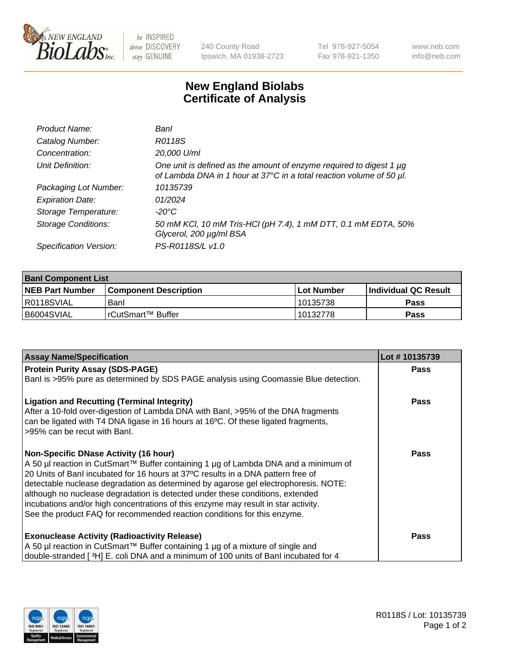

 $be$  INSPIRED drive DISCOVERY stay GENUINE

240 County Road Ipswich, MA 01938-2723 Tel 978-927-5054 Fax 978-921-1350 www.neb.com info@neb.com

## **New England Biolabs Certificate of Analysis**

| Product Name:              | Banl                                                                                                                                        |
|----------------------------|---------------------------------------------------------------------------------------------------------------------------------------------|
| Catalog Number:            | R0118S                                                                                                                                      |
| Concentration:             | 20,000 U/ml                                                                                                                                 |
| Unit Definition:           | One unit is defined as the amount of enzyme required to digest 1 µg<br>of Lambda DNA in 1 hour at 37°C in a total reaction volume of 50 µl. |
| Packaging Lot Number:      | 10135739                                                                                                                                    |
| <b>Expiration Date:</b>    | 01/2024                                                                                                                                     |
| Storage Temperature:       | -20°C                                                                                                                                       |
| <b>Storage Conditions:</b> | 50 mM KCl, 10 mM Tris-HCl (pH 7.4), 1 mM DTT, 0.1 mM EDTA, 50%<br>Glycerol, 200 µg/ml BSA                                                   |
| Specification Version:     | PS-R0118S/L v1.0                                                                                                                            |

| <b>Banl Component List</b> |                              |              |                       |  |  |
|----------------------------|------------------------------|--------------|-----------------------|--|--|
| <b>NEB Part Number</b>     | <b>Component Description</b> | l Lot Number | ∣Individual QC Result |  |  |
| I R0118SVIAL               | Banl                         | 10135738     | Pass                  |  |  |
| B6004SVIAL                 | l rCutSmart™ Buffer          | 10132778     | Pass                  |  |  |

| <b>Assay Name/Specification</b>                                                                                                                                                                                                                                                                                                                                                                                                                                                                                                                                   | Lot #10135739 |
|-------------------------------------------------------------------------------------------------------------------------------------------------------------------------------------------------------------------------------------------------------------------------------------------------------------------------------------------------------------------------------------------------------------------------------------------------------------------------------------------------------------------------------------------------------------------|---------------|
| <b>Protein Purity Assay (SDS-PAGE)</b>                                                                                                                                                                                                                                                                                                                                                                                                                                                                                                                            | Pass          |
| Banl is >95% pure as determined by SDS PAGE analysis using Coomassie Blue detection.                                                                                                                                                                                                                                                                                                                                                                                                                                                                              |               |
| <b>Ligation and Recutting (Terminal Integrity)</b><br>After a 10-fold over-digestion of Lambda DNA with Banl, >95% of the DNA fragments<br>can be ligated with T4 DNA ligase in 16 hours at 16°C. Of these ligated fragments,<br>>95% can be recut with Banl.                                                                                                                                                                                                                                                                                                     | Pass          |
| <b>Non-Specific DNase Activity (16 hour)</b><br>A 50 µl reaction in CutSmart™ Buffer containing 1 µg of Lambda DNA and a minimum of<br>20 Units of Banl incubated for 16 hours at 37°C results in a DNA pattern free of<br>detectable nuclease degradation as determined by agarose gel electrophoresis. NOTE:<br>although no nuclease degradation is detected under these conditions, extended<br>incubations and/or high concentrations of this enzyme may result in star activity.<br>See the product FAQ for recommended reaction conditions for this enzyme. | Pass          |
| <b>Exonuclease Activity (Radioactivity Release)</b><br>A 50 µl reaction in CutSmart™ Buffer containing 1 µg of a mixture of single and<br>double-stranded [3H] E. coli DNA and a minimum of 100 units of Banl incubated for 4                                                                                                                                                                                                                                                                                                                                     | Pass          |